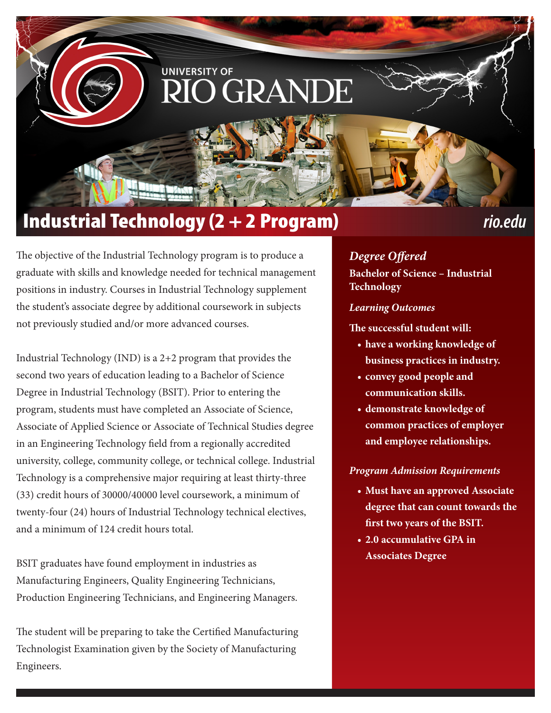# **UNIVERSITY OF** GRANI

## Industrial Technology (2 + 2 Program) *rio.edu*

The objective of the Industrial Technology program is to produce a graduate with skills and knowledge needed for technical management positions in industry. Courses in Industrial Technology supplement the student's associate degree by additional coursework in subjects not previously studied and/or more advanced courses.

Industrial Technology (IND) is a 2+2 program that provides the second two years of education leading to a Bachelor of Science Degree in Industrial Technology (BSIT). Prior to entering the program, students must have completed an Associate of Science, Associate of Applied Science or Associate of Technical Studies degree in an Engineering Technology field from a regionally accredited university, college, community college, or technical college. Industrial Technology is a comprehensive major requiring at least thirty-three (33) credit hours of 30000/40000 level coursework, a minimum of twenty-four (24) hours of Industrial Technology technical electives, and a minimum of 124 credit hours total.

BSIT graduates have found employment in industries as Manufacturing Engineers, Quality Engineering Technicians, Production Engineering Technicians, and Engineering Managers.

The student will be preparing to take the Certified Manufacturing Technologist Examination given by the Society of Manufacturing Engineers.

*Degree Offered* **Bachelor of Science – Industrial Technology**

### *Learning Outcomes*

**The successful student will:**

- **• have a working knowledge of business practices in industry.**
- **• convey good people and communication skills.**
- **• demonstrate knowledge of common practices of employer and employee relationships.**

### *Program Admission Requirements*

- **• Must have an approved Associate degree that can count towards the first two years of the BSIT.**
- **• 2.0 accumulative GPA in Associates Degree**